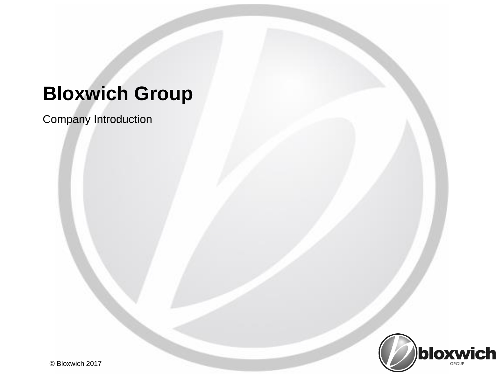Company Introduction

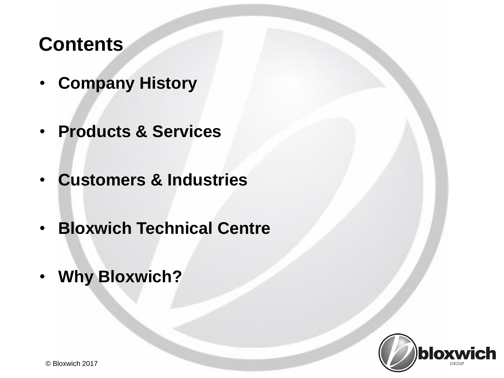# **Contents**

- **Company History**
- **Products & Services**
- **Customers & Industries**
- **Bloxwich Technical Centre**
- **Why Bloxwich?**

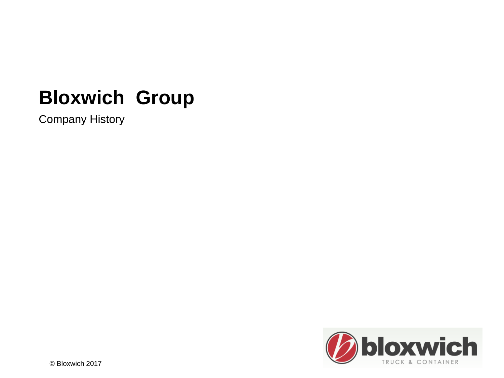Company History

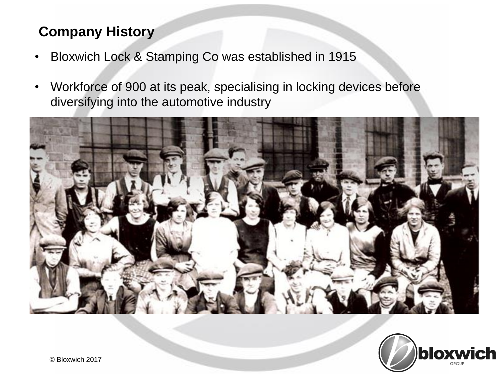### **Company History**

- Bloxwich Lock & Stamping Co was established in 1915
- Workforce of 900 at its peak, specialising in locking devices before diversifying into the automotive industry



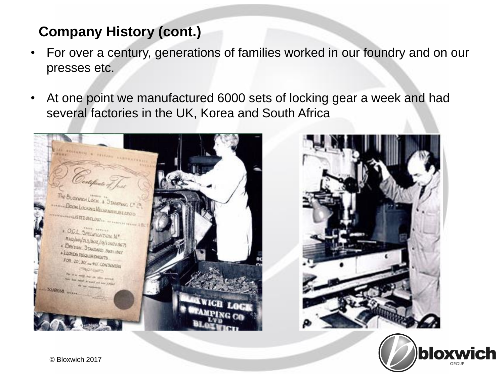- For over a century, generations of families worked in our foundry and on our presses etc.
- At one point we manufactured 6000 sets of locking gear a week and had several factories in the UK, Korea and South Africa

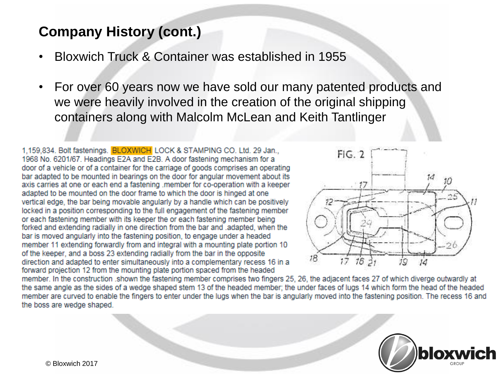- Bloxwich Truck & Container was established in 1955
- For over 60 years now we have sold our many patented products and we were heavily involved in the creation of the original shipping containers along with Malcolm McLean and Keith Tantlinger

1.159.834. Bolt fastenings. BLOXWICH LOCK & STAMPING CO. Ltd. 29 Jan., 1968 No. 6201/67. Headings E2A and E2B. A door fastening mechanism for a door of a vehicle or of a container for the carriage of goods comprises an operating bar adapted to be mounted in bearings on the door for angular movement about its axis carries at one or each end a fastening member for co-operation with a keeper adapted to be mounted on the door frame to which the door is hinged at one vertical edge, the bar being movable angularly by a handle which can be positively locked in a position corresponding to the full engagement of the fastening member or each fastening member with its keeper the or each fastening member being forked and extending radially in one direction from the bar and .adapted, when the bar is moved angularly into the fastening position, to engage under a headed member 11 extending forwardly from and integral with a mounting plate portion 10 of the keeper, and a boss 23 extending radially from the bar in the opposite direction and adapted to enter simultaneously into a complementary recess 16 in a forward projection 12 from the mounting plate portion spaced from the headed



member. In the construction shown the fastening member comprises two fingers 25, 26, the adjacent faces 27 of which diverge outwardly at the same angle as the sides of a wedge shaped stem 13 of the headed member; the under faces of lugs 14 which form the head of the headed member are curved to enable the fingers to enter under the lugs when the bar is angularly moved into the fastening position. The recess 16 and the boss are wedge shaped.

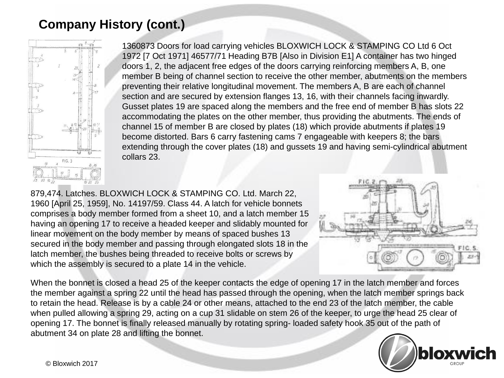

1360873 Doors for load carrying vehicles BLOXWICH LOCK & STAMPING CO Ltd 6 Oct 1972 [7 Oct 1971] 46577/71 Heading B7B [Also in Division E1] A container has two hinged doors 1, 2, the adjacent free edges of the doors carrying reinforcing members A, B, one member B being of channel section to receive the other member, abutments on the members preventing their relative longitudinal movement. The members A, B are each of channel section and are secured by extension flanges 13, 16, with their channels facing inwardly. Gusset plates 19 are spaced along the members and the free end of member B has slots 22 accommodating the plates on the other member, thus providing the abutments. The ends of channel 15 of member B are closed by plates (18) which provide abutments if plates 19 become distorted. Bars 6 carry fastening cams 7 engageable with keepers 8; the bars extending through the cover plates (18) and gussets 19 and having semi-cylindrical abutment collars 23.

879,474. Latches. BLOXWICH LOCK & STAMPING CO. Ltd. March 22, 1960 [April 25, 1959], No. 14197/59. Class 44. A latch for vehicle bonnets comprises a body member formed from a sheet 10, and a latch member 15 having an opening 17 to receive a headed keeper and slidably mounted for linear movement on the body member by means of spaced bushes 13 secured in the body member and passing through elongated slots 18 in the latch member, the bushes being threaded to receive bolts or screws by which the assembly is secured to a plate 14 in the vehicle.



When the bonnet is closed a head 25 of the keeper contacts the edge of opening 17 in the latch member and forces the member against a spring 22 until the head has passed through the opening, when the latch member springs back to retain the head. Release is by a cable 24 or other means, attached to the end 23 of the latch member, the cable when pulled allowing a spring 29, acting on a cup 31 slidable on stem 26 of the keeper, to urge the head 25 clear of opening 17. The bonnet is finally released manually by rotating spring- loaded safety hook 35 out of the path of abutment 34 on plate 28 and lifting the bonnet.

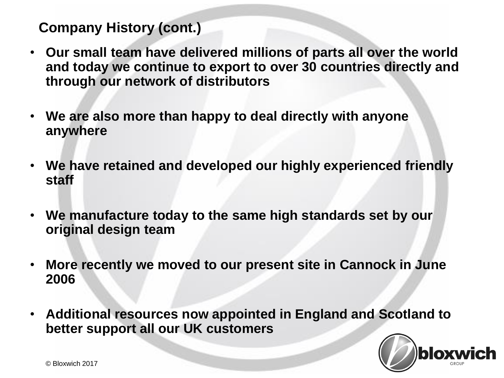- **Our small team have delivered millions of parts all over the world and today we continue to export to over 30 countries directly and through our network of distributors**
- **We are also more than happy to deal directly with anyone anywhere**
- **We have retained and developed our highly experienced friendly staff**
- **We manufacture today to the same high standards set by our original design team**
- **More recently we moved to our present site in Cannock in June 2006**
- **Additional resources now appointed in England and Scotland to better support all our UK customers**

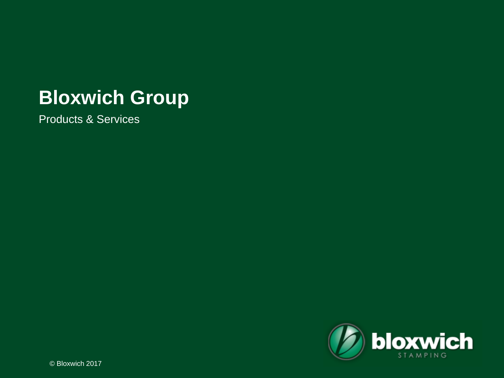Products & Services

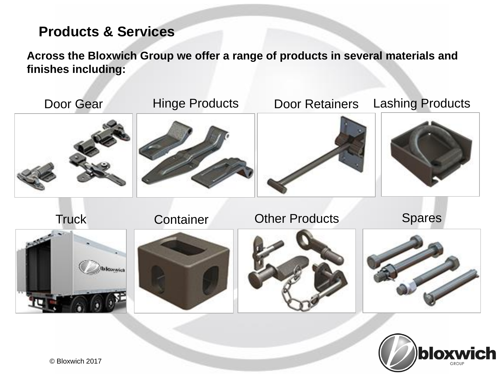#### **Products & Services**

**Across the Bloxwich Group we offer a range of products in several materials and finishes including:**



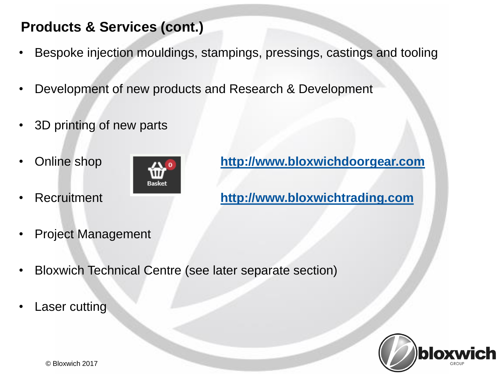### **Products & Services (cont.)**

- Bespoke injection mouldings, stampings, pressings, castings and tooling
- Development of new products and Research & Development
- 3D printing of new parts
- 



• Online shop **[http://www.bloxwichdoorgear.com](http://www.bloxwichdoorgear.co.uk/)** 

• Recruitment **[http://www.bloxwichtrading.com](http://www.bloxwichtrading.com/)**

- Project Management
- Bloxwich Technical Centre (see later separate section)
- **Laser cutting**

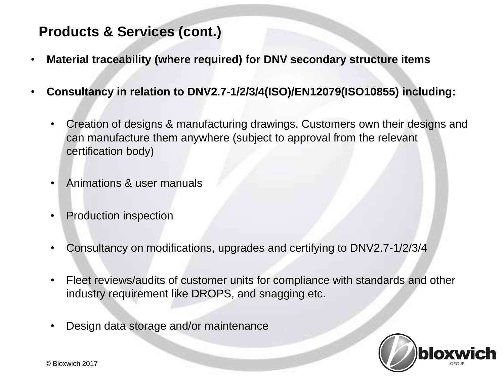#### **Products & Services (cont.)**

- **Material traceability (where required) for DNV secondary structure items**
- **Consultancy in relation to DNV2.7-1/2/3/4(ISO)/EN12079(ISO10855) including:**
	- Creation of designs & manufacturing drawings. Customers own their designs and can manufacture them anywhere (subject to approval from the relevant certification body)
	- Animations & user manuals
	- Production inspection
	- Consultancy on modifications, upgrades and certifying to DNV2.7-1/2/3/4
	- Fleet reviews/audits of customer units for compliance with standards and other industry requirement like DROPS, and snagging etc.
	- Design data storage and/or maintenance

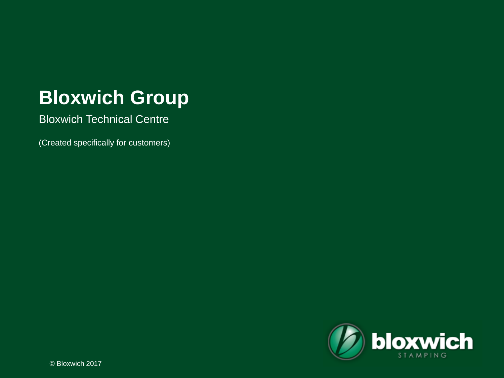Bloxwich Technical Centre

(Created specifically for customers)

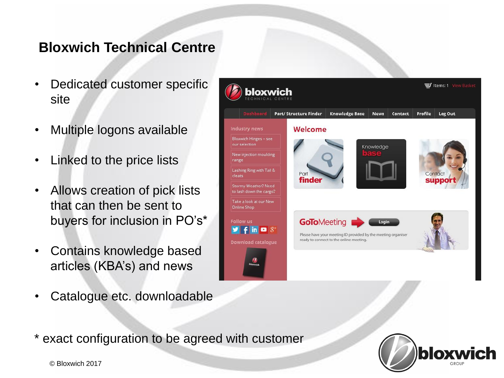#### **Bloxwich Technical Centre**

- Dedicated customer specific site
- Multiple logons available
- Linked to the price lists
- Allows creation of pick lists that can then be sent to buyers for inclusion in PO's\*
- Contains knowledge based articles (KBA's) and news
- Catalogue etc. downloadable



\* exact configuration to be agreed with customer



© Bloxwich 2017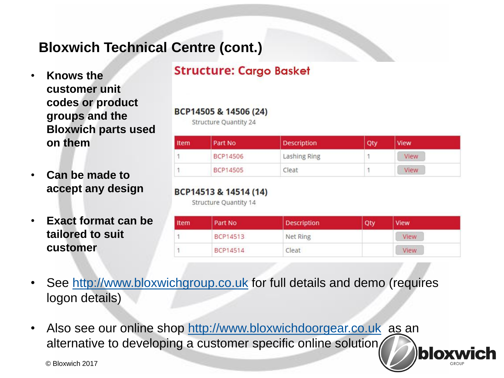### **Bloxwich Technical Centre (cont.)**

- **Knows the customer unit codes or product groups and the Bloxwich parts used on them**
- **Can be made to accept any design**
- **Exact format can be tailored to suit customer**

#### **Structure: Cargo Basket**

#### BCP14505 & 14506 (24)

**Structure Quantity 24** 

| Item | Part No         | <b>Description</b> | Qty | <b>View</b> |  |
|------|-----------------|--------------------|-----|-------------|--|
|      | BCP14506        | Lashing Ring       |     | View        |  |
|      | <b>BCP14505</b> | Cleat              |     | View        |  |

#### BCP14513 & 14514 (14)

Structure Quantity 14

| Item | Part No  | Description | Qty | <b>View</b> |  |
|------|----------|-------------|-----|-------------|--|
|      | BCP14513 | Net Ring    |     | View        |  |
|      | BCP14514 | Cleat       |     | View        |  |

bloxwich

- See [http://www.bloxwichgroup.co.uk](http://www.bloxwichgroup.co.uk/) for full details and demo (requires logon details)
- Also see our online shop [http://www.bloxwichdoorgear.co.uk](http://www.bloxwichdoorgear.co.uk/) as an alternative to developing a customer specific online solution

© Bloxwich 2017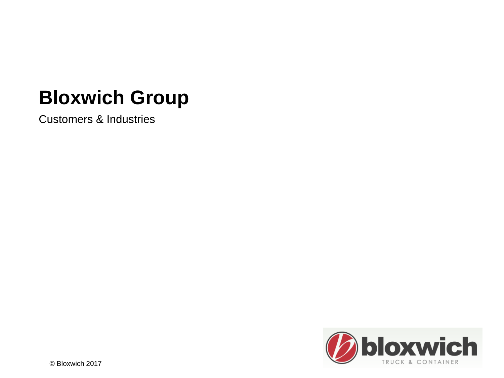Customers & Industries

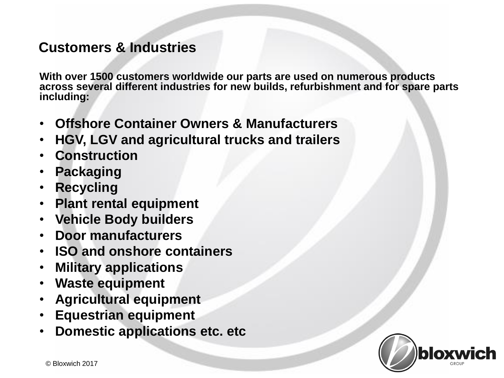#### **Customers & Industries**

**With over 1500 customers worldwide our parts are used on numerous products across several different industries for new builds, refurbishment and for spare parts including:**

- **Offshore Container Owners & Manufacturers**
- **HGV, LGV and agricultural trucks and trailers**
- **Construction**
- **Packaging**
- **Recycling**
- **Plant rental equipment**
- **Vehicle Body builders**
- **Door manufacturers**
- **ISO and onshore containers**
- **Military applications**
- **Waste equipment**
- **Agricultural equipment**
- **Equestrian equipment**
- **Domestic applications etc. etc**

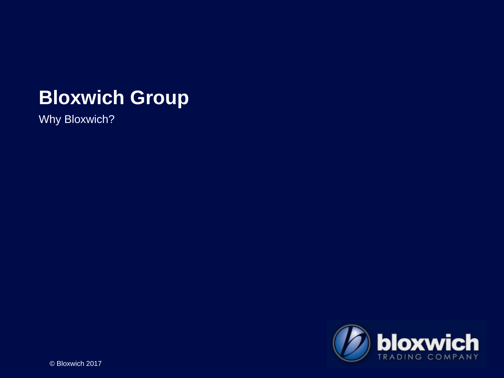Why Bloxwich?

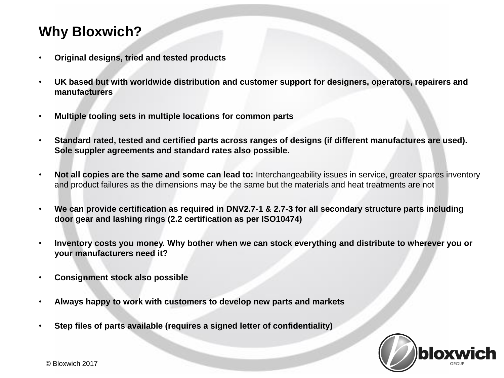### **Why Bloxwich?**

- **Original designs, tried and tested products**
- **UK based but with worldwide distribution and customer support for designers, operators, repairers and manufacturers**
- **Multiple tooling sets in multiple locations for common parts**
- **Standard rated, tested and certified parts across ranges of designs (if different manufactures are used). Sole suppler agreements and standard rates also possible.**
- **Not all copies are the same and some can lead to:** Interchangeability issues in service, greater spares inventory and product failures as the dimensions may be the same but the materials and heat treatments are not
- **We can provide certification as required in DNV2.7-1 & 2.7-3 for all secondary structure parts including door gear and lashing rings (2.2 certification as per ISO10474)**
- **Inventory costs you money. Why bother when we can stock everything and distribute to wherever you or your manufacturers need it?**
- **Consignment stock also possible**
- **Always happy to work with customers to develop new parts and markets**
- **Step files of parts available (requires a signed letter of confidentiality)**

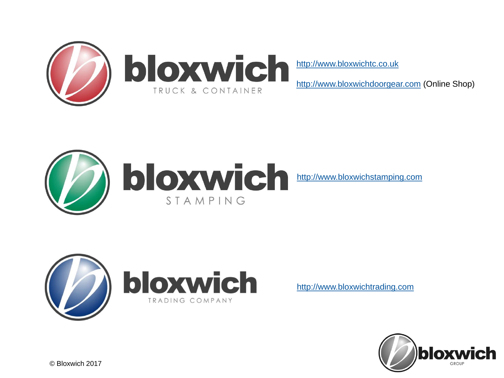

[http://www.bloxwichtc.co.uk](http://www.bloxwichtc.co.uk/)

[http://www.bloxwichdoorgear.com](http://www.bloxwichdoorgear.com/) (Online Shop)





[http://www.bloxwichtrading.com](http://www.bloxwichtrading.com/)